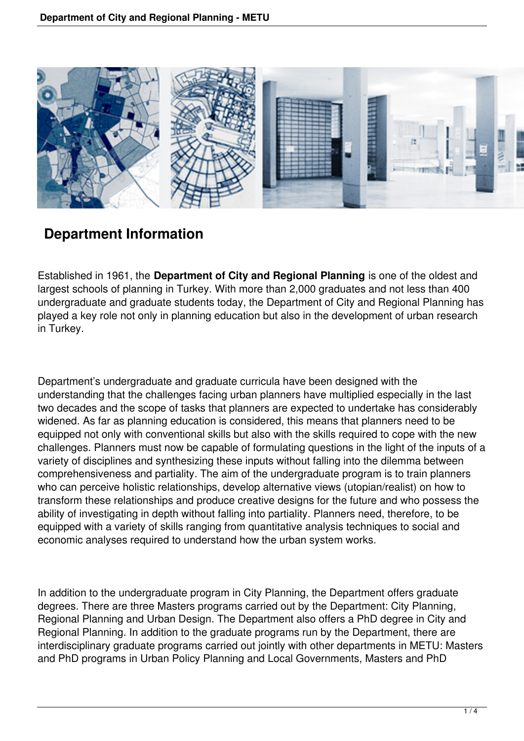

# **Department Information**

Established in 1961, the **Department of City and Regional Planning** is one of the oldest and largest schools of planning in Turkey. With more than 2,000 graduates and not less than 400 undergraduate and graduate students today, the Department of City and Regional Planning has played a key role not only in planning education but also in the development of urban research in Turkey.

Department's undergraduate and graduate curricula have been designed with the understanding that the challenges facing urban planners have multiplied especially in the last two decades and the scope of tasks that planners are expected to undertake has considerably widened. As far as planning education is considered, this means that planners need to be equipped not only with conventional skills but also with the skills required to cope with the new challenges. Planners must now be capable of formulating questions in the light of the inputs of a variety of disciplines and synthesizing these inputs without falling into the dilemma between comprehensiveness and partiality. The aim of the undergraduate program is to train planners who can perceive holistic relationships, develop alternative views (utopian/realist) on how to transform these relationships and produce creative designs for the future and who possess the ability of investigating in depth without falling into partiality. Planners need, therefore, to be equipped with a variety of skills ranging from quantitative analysis techniques to social and economic analyses required to understand how the urban system works.

In addition to the undergraduate program in City Planning, the Department offers graduate degrees. There are three Masters programs carried out by the Department: City Planning, Regional Planning and Urban Design. The Department also offers a PhD degree in City and Regional Planning. In addition to the graduate programs run by the Department, there are interdisciplinary graduate programs carried out jointly with other departments in METU: Masters and PhD programs in Urban Policy Planning and Local Governments, Masters and PhD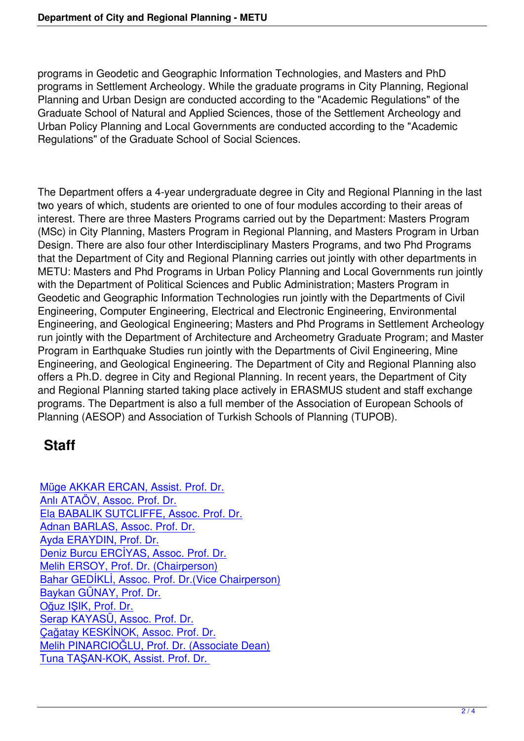programs in Geodetic and Geographic Information Technologies, and Masters and PhD programs in Settlement Archeology. While the graduate programs in City Planning, Regional Planning and Urban Design are conducted according to the "Academic Regulations" of the Graduate School of Natural and Applied Sciences, those of the Settlement Archeology and Urban Policy Planning and Local Governments are conducted according to the "Academic Regulations" of the Graduate School of Social Sciences.

The Department offers a 4-year undergraduate degree in City and Regional Planning in the last two years of which, students are oriented to one of four modules according to their areas of interest. There are three Masters Programs carried out by the Department: Masters Program (MSc) in City Planning, Masters Program in Regional Planning, and Masters Program in Urban Design. There are also four other Interdisciplinary Masters Programs, and two Phd Programs that the Department of City and Regional Planning carries out jointly with other departments in METU: Masters and Phd Programs in Urban Policy Planning and Local Governments run jointly with the Department of Political Sciences and Public Administration; Masters Program in Geodetic and Geographic Information Technologies run jointly with the Departments of Civil Engineering, Computer Engineering, Electrical and Electronic Engineering, Environmental Engineering, and Geological Engineering; Masters and Phd Programs in Settlement Archeology run jointly with the Department of Architecture and Archeometry Graduate Program; and Master Program in Earthquake Studies run jointly with the Departments of Civil Engineering, Mine Engineering, and Geological Engineering. The Department of City and Regional Planning also offers a Ph.D. degree in City and Regional Planning. In recent years, the Department of City and Regional Planning started taking place actively in ERASMUS student and staff exchange programs. The Department is also a full member of the Association of European Schools of Planning (AESOP) and Association of Turkish Schools of Planning (TUPOB).

## **Staff**

Müge AKKAR ERCAN, Assist. Prof. Dr. Anlı ATAÖV, Assoc. Prof. Dr. Ela BABALIK SUTCLIFFE, Assoc. Prof. Dr. [Adnan BARLAS, Assoc. Prof. Dr.](http://www.crp.metu.edu.tr/node/38) [Ayda ERAYDIN, Prof. Dr.](http://www.crp.metu.edu.tr/node/42) [Deniz Burcu ERCİYAS, Assoc. Prof. Dr.](http://www.crp.metu.edu.tr/node/43) [Melih ERSOY, Prof. Dr. \(Chairper](http://www.crp.metu.edu.tr/node/35)son) [Bahar GEDİKLİ, Assoc. P](http://www.crp.metu.edu.tr/node/31)rof. Dr.(Vice Chairperson) [Baykan GÜNAY, Prof. Dr.](http://www.crp.metu.edu.tr/node/36) [Oğuz IŞIK, Prof. Dr.](http://www.crp.metu.edu.tr/node/32) [Serap KAYASÜ, Assoc. Prof. Dr.](http://www.crp.metu.edu.tr/node/49) [Çağatay KESKİNOK, Asso](http://www.crp.metu.edu.tr/node/51)c. Prof. Dr. [Melih PINARCIOĞL](http://www.crp.metu.edu.tr/node/52)U, Prof. Dr. (Associate Dean) [Tuna TAŞAN-KOK, Assist. Prof. D](http://www.crp.metu.edu.tr/node/53)r.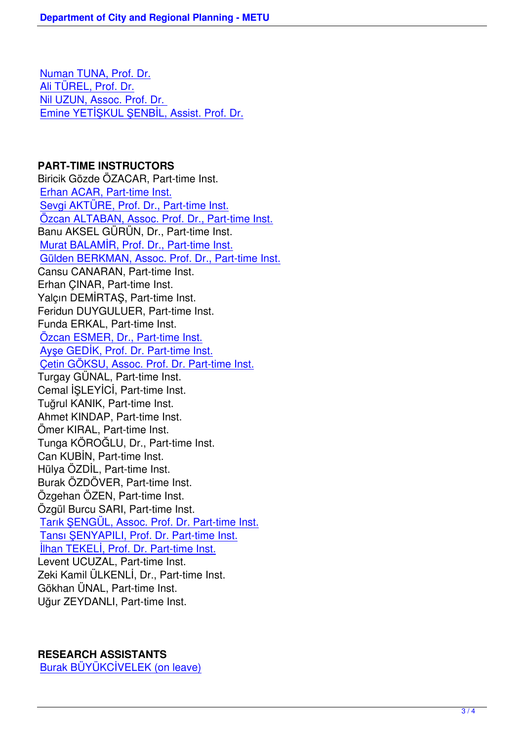Numan TUNA, Prof. Dr. Ali TÜREL, Prof. Dr. Nil UZUN, Assoc. Prof. Dr. [Emine YETİŞKUL ŞENB](http://www.crp.metu.edu.tr/node/33)İL, Assist. Prof. Dr.

#### **[PART-TIME INSTRUCTORS](http://www.crp.metu.edu.tr/node/87)**

Biricik Gözde ÖZACAR, Part-time Inst. Erhan ACAR, Part-time Inst. Sevgi AKTÜRE, Prof. Dr., Part-time Inst. Özcan ALTABAN, Assoc. Prof. Dr., Part-time Inst. [Banu AKSEL GÜRÜN, Dr., P](http://www.crp.metu.edu.tr/node/37)art-time Inst. [Murat BALAMİR, Prof. Dr., Part-time Inst](http://www.crp.metu.edu.tr/node/40). [Gülden BERKMAN, Assoc. Prof. Dr., Part-time Ins](http://www.crp.metu.edu.tr/node/41)t. Cansu CANARAN, Part-time Inst. [Erhan ÇINAR, Part-time Inst.](http://www.crp.metu.edu.tr/node/11) [Yalçın DEMİRTAŞ, Part-time Inst.](http://www.crp.metu.edu.tr/node/46) Feridun DUYGULUER, Part-time Inst. Funda ERKAL, Part-time Inst. Özcan ESMER, Dr., Part-time Inst. Ayşe GEDİK, Prof. Dr. Part-time Inst. Çetin GÖKSU, Assoc. Prof. Dr. Part-time Inst. [Turgay GÜNAL, Part-time Inst.](http://www.crp.metu.edu.tr/node/47) [Cemal İŞLEYİCİ, Part-time Inst.](http://www.crp.metu.edu.tr/node/48) [Tuğrul KANIK, Part-time Inst.](http://www.crp.metu.edu.tr/node/50) Ahmet KINDAP, Part-time Inst. Ömer KIRAL, Part-time Inst. Tunga KÖROĞLU, Dr., Part-time Inst. Can KUBİN, Part-time Inst. Hülya ÖZDİL, Part-time Inst. Burak ÖZDÖVER, Part-time Inst. Özgehan ÖZEN, Part-time Inst. Özgül Burcu SARI, Part-time Inst. Tarık ŞENGÜL, Assoc. Prof. Dr. Part-time Inst. Tansı ŞENYAPILI, Prof. Dr. Part-time Inst. İlhan TEKELİ, Prof. Dr. Part-time Inst. [Levent UCUZAL, Part-time Inst.](http://www.crp.metu.edu.tr/node/56) [Zeki Kamil ÜLKENLİ, Dr., Part-time Inst.](http://www.crp.metu.edu.tr/node/57) [Gökhan ÜNAL, Part-time Inst.](http://www.crp.metu.edu.tr/node/58) Uğur ZEYDANLI, Part-time Inst.

#### **RESEARCH ASSISTANTS**

Burak BÜYÜKCİVELEK (on leave)